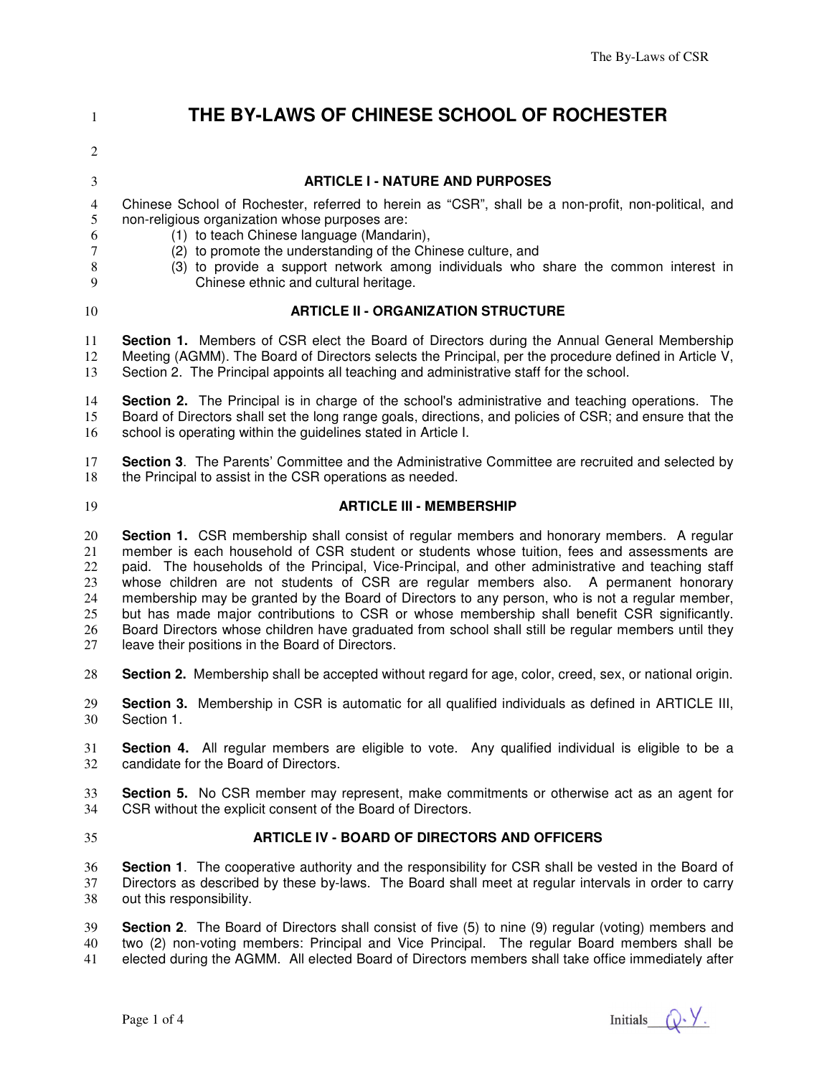# **THE BY-LAWS OF CHINESE SCHOOL OF ROCHESTER**

#### **ARTICLE I - NATURE AND PURPOSES**

Chinese School of Rochester, referred to herein as "CSR", shall be a non-profit, non-political, and non-religious organization whose purposes are:

- (1) to teach Chinese language (Mandarin),
- (2) to promote the understanding of the Chinese culture, and
- 
- (3) to provide a support network among individuals who share the common interest in
- Chinese ethnic and cultural heritage.
- 

#### **ARTICLE II - ORGANIZATION STRUCTURE**

**Section 1.** Members of CSR elect the Board of Directors during the Annual General Membership Meeting (AGMM). The Board of Directors selects the Principal, per the procedure defined in Article V, Section 2. The Principal appoints all teaching and administrative staff for the school.

**Section 2.** The Principal is in charge of the school's administrative and teaching operations. The Board of Directors shall set the long range goals, directions, and policies of CSR; and ensure that the school is operating within the guidelines stated in Article I.

**Section 3**. The Parents' Committee and the Administrative Committee are recruited and selected by 18 the Principal to assist in the CSR operations as needed.

#### **ARTICLE III - MEMBERSHIP**

**Section 1.** CSR membership shall consist of regular members and honorary members. A regular member is each household of CSR student or students whose tuition, fees and assessments are 22 paid. The households of the Principal, Vice-Principal, and other administrative and teaching staff<br>23 whose children are not students of CSR are regular members also. A permanent honorary whose children are not students of CSR are regular members also. A permanent honorary membership may be granted by the Board of Directors to any person, who is not a regular member, 25 but has made major contributions to CSR or whose membership shall benefit CSR significantly.<br>26 Board Directors whose children have graduated from school shall still be regular members until they Board Directors whose children have graduated from school shall still be regular members until they leave their positions in the Board of Directors.

**Section 2.** Membership shall be accepted without regard for age, color, creed, sex, or national origin.

**Section 3.** Membership in CSR is automatic for all qualified individuals as defined in ARTICLE III, Section 1.

**Section 4.** All regular members are eligible to vote. Any qualified individual is eligible to be a candidate for the Board of Directors.

**Section 5.** No CSR member may represent, make commitments or otherwise act as an agent for CSR without the explicit consent of the Board of Directors. CSR without the explicit consent of the Board of Directors.

#### **ARTICLE IV - BOARD OF DIRECTORS AND OFFICERS**

**Section 1**. The cooperative authority and the responsibility for CSR shall be vested in the Board of 37 Directors as described by these by-laws. The Board shall meet at regular intervals in order to carry<br>38 out this responsibility. out this responsibility.

**Section 2**. The Board of Directors shall consist of five (5) to nine (9) regular (voting) members and two (2) non-voting members: Principal and Vice Principal. The regular Board members shall be elected during the AGMM. All elected Board of Directors members shall take office immediately after

Page 1 of 4 Initials  $\mathbb{Q} \times \mathbb{V}$ .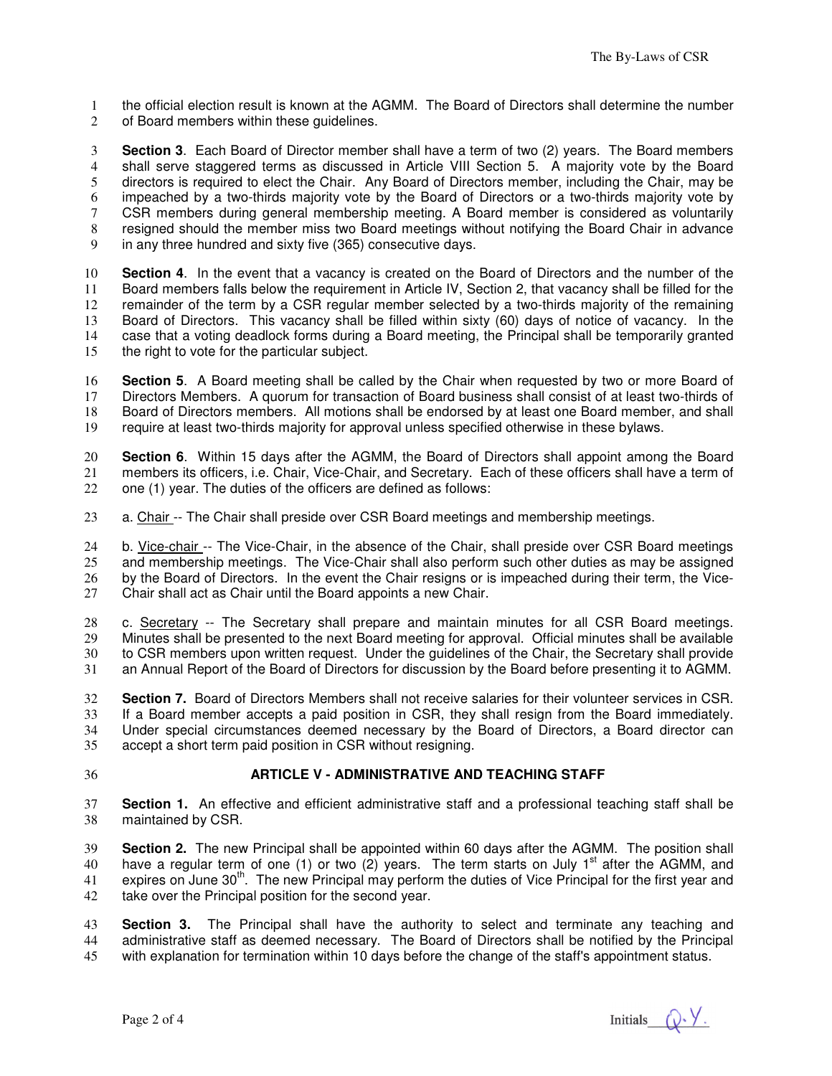the official election result is known at the AGMM. The Board of Directors shall determine the number 2 of Board members within these quidelines.

**Section 3**. Each Board of Director member shall have a term of two (2) years. The Board members shall serve staggered terms as discussed in Article VIII Section 5. A majority vote by the Board directors is required to elect the Chair. Any Board of Directors member, including the Chair, may be impeached by a two-thirds majority vote by the Board of Directors or a two-thirds majority vote by CSR members during general membership meeting. A Board member is considered as voluntarily resigned should the member miss two Board meetings without notifying the Board Chair in advance in any three hundred and sixty five (365) consecutive days.

**Section 4**. In the event that a vacancy is created on the Board of Directors and the number of the Board members falls below the requirement in Article IV, Section 2, that vacancy shall be filled for the remainder of the term by a CSR regular member selected by a two-thirds majority of the remaining Board of Directors. This vacancy shall be filled within sixty (60) days of notice of vacancy. In the case that a voting deadlock forms during a Board meeting, the Principal shall be temporarily granted the right to vote for the particular subject.

**Section 5**. A Board meeting shall be called by the Chair when requested by two or more Board of Directors Members. A quorum for transaction of Board business shall consist of at least two-thirds of 18 Board of Directors members. All motions shall be endorsed by at least one Board member, and shall 19 require at least two-thirds majority for approval unless specified otherwise in these bylaws. require at least two-thirds majority for approval unless specified otherwise in these bylaws.

**Section 6**. Within 15 days after the AGMM, the Board of Directors shall appoint among the Board members its officers, i.e. Chair, Vice-Chair, and Secretary. Each of these officers shall have a term of one (1) year. The duties of the officers are defined as follows:

a. Chair -- The Chair shall preside over CSR Board meetings and membership meetings.

24 b. Vice-chair -- The Vice-Chair, in the absence of the Chair, shall preside over CSR Board meetings<br>25 and membership meetings. The Vice-Chair shall also perform such other duties as may be assigned and membership meetings. The Vice-Chair shall also perform such other duties as may be assigned by the Board of Directors. In the event the Chair resigns or is impeached during their term, the Vice-Chair shall act as Chair until the Board appoints a new Chair.

c. Secretary -- The Secretary shall prepare and maintain minutes for all CSR Board meetings. Minutes shall be presented to the next Board meeting for approval. Official minutes shall be available to CSR members upon written request. Under the guidelines of the Chair, the Secretary shall provide an Annual Report of the Board of Directors for discussion by the Board before presenting it to AGMM.

**Section 7.** Board of Directors Members shall not receive salaries for their volunteer services in CSR. If a Board member accepts a paid position in CSR, they shall resign from the Board immediately. Under special circumstances deemed necessary by the Board of Directors, a Board director can accept a short term paid position in CSR without resigning.

# **ARTICLE V - ADMINISTRATIVE AND TEACHING STAFF**

**Section 1.** An effective and efficient administrative staff and a professional teaching staff shall be maintained by CSR.

**Section 2.** The new Principal shall be appointed within 60 days after the AGMM. The position shall 40 have a regular term of one (1) or two (2) years. The term starts on July  $1<sup>st</sup>$  after the AGMM, and 41 . expires on June  $30<sup>th</sup>$ . The new Principal may perform the duties of Vice Principal for the first year and 42 take over the Principal position for the second year.

**Section 3.** The Principal shall have the authority to select and terminate any teaching and administrative staff as deemed necessary. The Board of Directors shall be notified by the Principal with explanation for termination within 10 days before the change of the staff's appointment status.

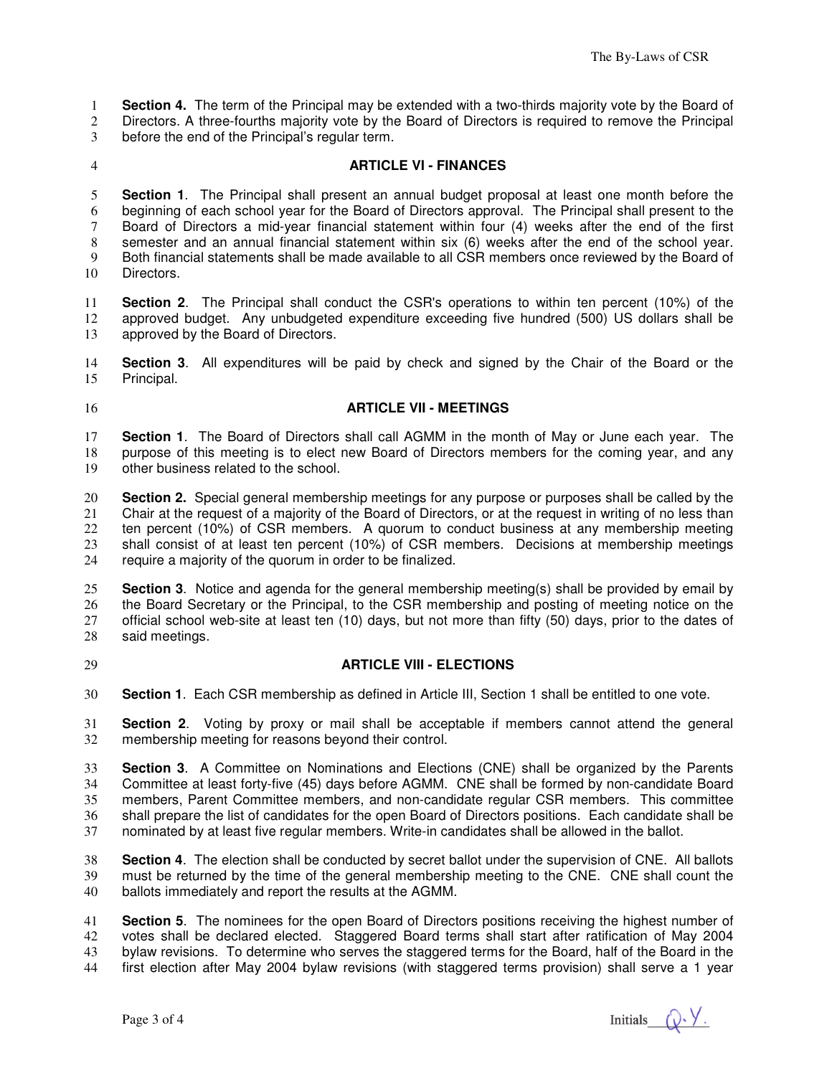**Section 4.** The term of the Principal may be extended with a two-thirds majority vote by the Board of

Directors. A three-fourths majority vote by the Board of Directors is required to remove the Principal

before the end of the Principal's regular term.

### **ARTICLE VI - FINANCES**

**Section 1**. The Principal shall present an annual budget proposal at least one month before the beginning of each school year for the Board of Directors approval. The Principal shall present to the Board of Directors a mid-year financial statement within four (4) weeks after the end of the first semester and an annual financial statement within six (6) weeks after the end of the school year. Both financial statements shall be made available to all CSR members once reviewed by the Board of Directors.

**Section 2**. The Principal shall conduct the CSR's operations to within ten percent (10%) of the approved budget. Any unbudgeted expenditure exceeding five hundred (500) US dollars shall be approved by the Board of Directors.

**Section 3**. All expenditures will be paid by check and signed by the Chair of the Board or the Principal.

#### **ARTICLE VII - MEETINGS**

**Section 1**. The Board of Directors shall call AGMM in the month of May or June each year. The 18 purpose of this meeting is to elect new Board of Directors members for the coming year, and any<br>19 other business related to the school. other business related to the school.

**Section 2.** Special general membership meetings for any purpose or purposes shall be called by the Chair at the request of a majority of the Board of Directors, or at the request in writing of no less than ten percent (10%) of CSR members. A quorum to conduct business at any membership meeting 23 shall consist of at least ten percent (10%) of CSR members. Decisions at membership meetings 24 require a maiority of the quorum in order to be finalized. require a majority of the quorum in order to be finalized.

**Section 3**. Notice and agenda for the general membership meeting(s) shall be provided by email by the Board Secretary or the Principal, to the CSR membership and posting of meeting notice on the official school web-site at least ten (10) days, but not more than fifty (50) days, prior to the dates of said meetings.

#### **ARTICLE VIII - ELECTIONS**

**Section 1**. Each CSR membership as defined in Article III, Section 1 shall be entitled to one vote.

**Section 2**. Voting by proxy or mail shall be acceptable if members cannot attend the general membership meeting for reasons beyond their control.

**Section 3**. A Committee on Nominations and Elections (CNE) shall be organized by the Parents 34 Committee at least forty-five (45) days before AGMM. CNE shall be formed by non-candidate Board Committee at least forty-five (45) days before AGMM. CNE shall be formed by non-candidate Board members, Parent Committee members, and non-candidate regular CSR members. This committee 36 shall prepare the list of candidates for the open Board of Directors positions. Each candidate shall be 37 nominated by at least five regular members. Write-in candidates shall be allowed in the ballot. nominated by at least five regular members. Write-in candidates shall be allowed in the ballot.

**Section 4**. The election shall be conducted by secret ballot under the supervision of CNE. All ballots must be returned by the time of the general membership meeting to the CNE. CNE shall count the ballots immediately and report the results at the AGMM.

**Section 5**. The nominees for the open Board of Directors positions receiving the highest number of votes shall be declared elected. Staggered Board terms shall start after ratification of May 2004 bylaw revisions. To determine who serves the staggered terms for the Board, half of the Board in the first election after May 2004 bylaw revisions (with staggered terms provision) shall serve a 1 year